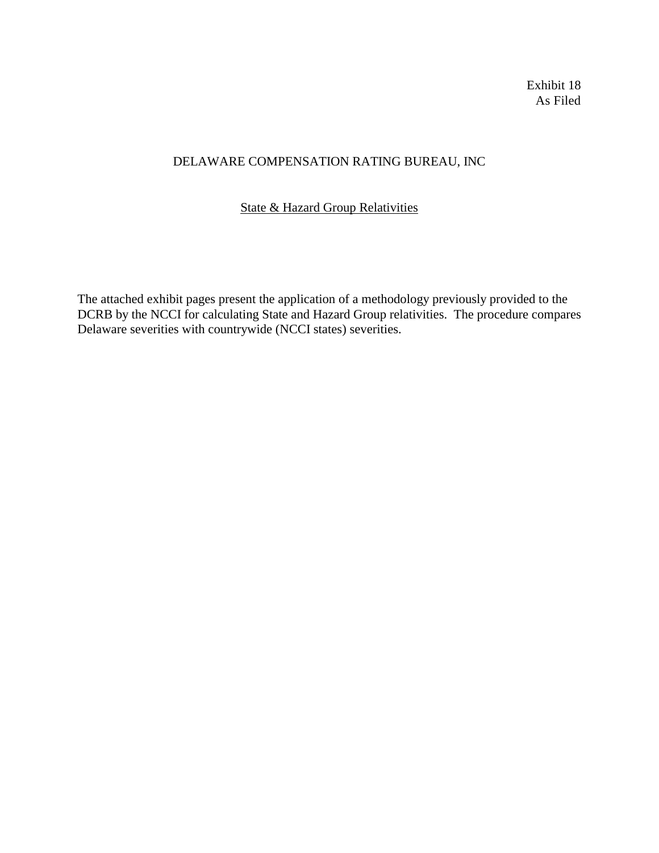Exhibit 18 As Filed

# DELAWARE COMPENSATION RATING BUREAU, INC

## State & Hazard Group Relativities

The attached exhibit pages present the application of a methodology previously provided to the DCRB by the NCCI for calculating State and Hazard Group relativities. The procedure compares Delaware severities with countrywide (NCCI states) severities.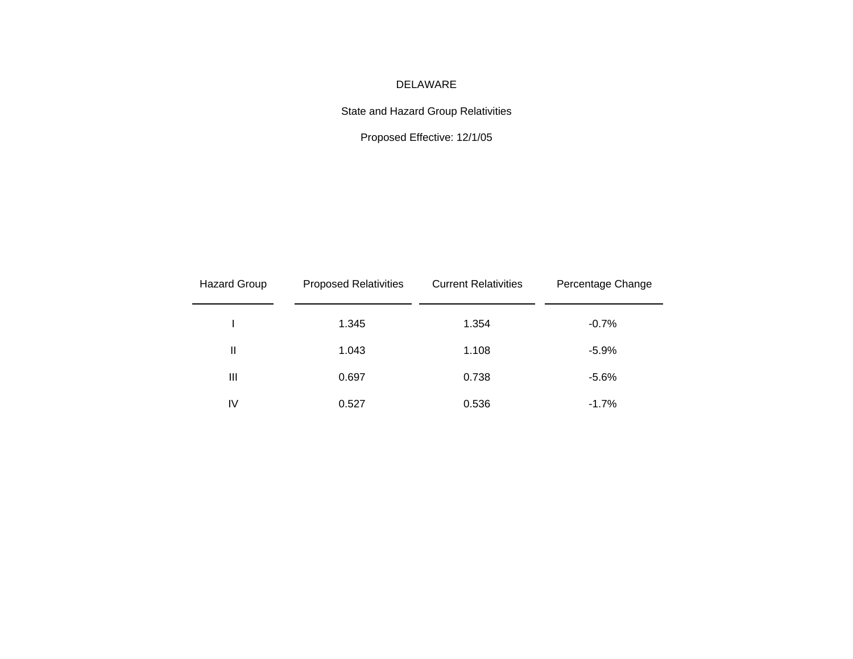## DELAWARE

State and Hazard Group Relativities

Proposed Effective: 12/1/05

| <b>Hazard Group</b> | <b>Proposed Relativities</b> | <b>Current Relativities</b> | Percentage Change |
|---------------------|------------------------------|-----------------------------|-------------------|
|                     | 1.345                        | 1.354                       | $-0.7%$           |
| Ш                   | 1.043                        | 1.108                       | $-5.9%$           |
| $\mathbf{III}$      | 0.697                        | 0.738                       | $-5.6%$           |
| IV                  | 0.527                        | 0.536                       | $-1.7%$           |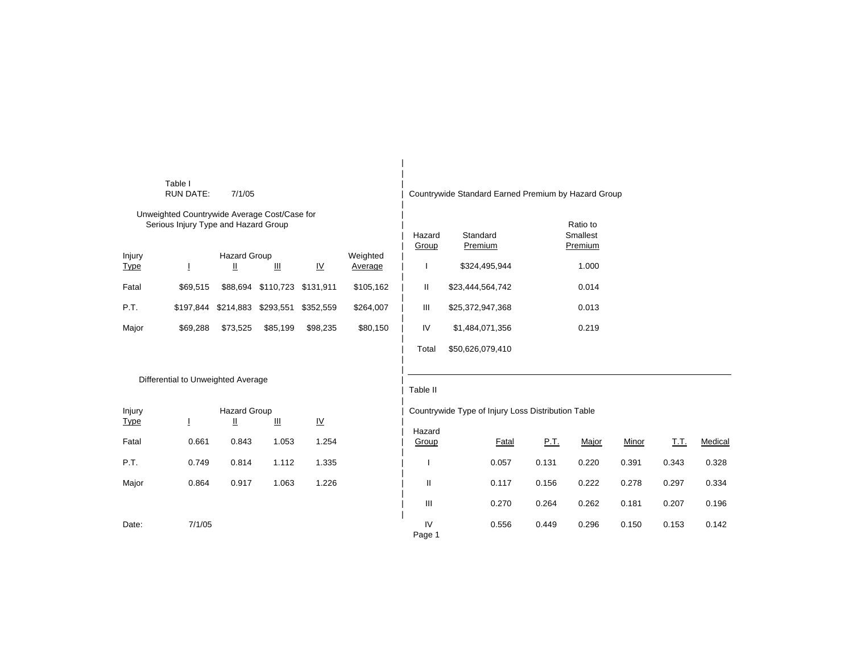|                       | Table I<br><b>RUN DATE:</b>                                                          | 7/1/05                   |                                |                           |                     |                 | Countrywide Standard Earned Premium by Hazard Group |       |                                 |       |       |        |
|-----------------------|--------------------------------------------------------------------------------------|--------------------------|--------------------------------|---------------------------|---------------------|-----------------|-----------------------------------------------------|-------|---------------------------------|-------|-------|--------|
|                       | Unweighted Countrywide Average Cost/Case for<br>Serious Injury Type and Hazard Group |                          |                                |                           |                     | Hazard<br>Group | Standard<br>Premium                                 |       | Ratio to<br>Smallest<br>Premium |       |       |        |
| Injury<br><b>Type</b> | T                                                                                    | <b>Hazard Group</b><br>Щ | Ш                              | $\underline{\mathsf{IV}}$ | Weighted<br>Average |                 | \$324,495,944                                       |       | 1.000                           |       |       |        |
| Fatal                 | \$69,515                                                                             |                          | \$88,694 \$110,723 \$131,911   |                           | \$105,162           | Ш               | \$23,444,564,742                                    |       | 0.014                           |       |       |        |
| P.T.                  | \$197,844                                                                            | \$214,883                | \$293,551                      | \$352,559                 | \$264,007           | $\mathbf{III}$  | \$25,372,947,368                                    |       | 0.013                           |       |       |        |
| Major                 | \$69,288                                                                             | \$73,525                 | \$85,199                       | \$98,235                  | \$80,150            | IV              | \$1,484,071,356                                     |       | 0.219                           |       |       |        |
|                       |                                                                                      |                          |                                |                           |                     | Total           | \$50,626,079,410                                    |       |                                 |       |       |        |
|                       | Differential to Unweighted Average                                                   |                          |                                |                           |                     |                 |                                                     |       |                                 |       |       |        |
|                       |                                                                                      |                          |                                |                           |                     | Table II        |                                                     |       |                                 |       |       |        |
| Injury                |                                                                                      | <b>Hazard Group</b>      |                                |                           |                     |                 | Countrywide Type of Injury Loss Distribution Table  |       |                                 |       |       |        |
| <b>Type</b>           | T.                                                                                   | Щ                        | $\mathop{\text{III}}\nolimits$ | $\underline{\mathsf{IV}}$ |                     | Hazard          |                                                     |       |                                 |       |       |        |
| Fatal                 | 0.661                                                                                | 0.843                    | 1.053                          | 1.254                     |                     | Group           | Fatal                                               | P.T.  | Major                           | Minor | T.T.  | Medica |
| P.T.                  | 0.749                                                                                | 0.814                    | 1.112                          | 1.335                     |                     |                 | 0.057                                               | 0.131 | 0.220                           | 0.391 | 0.343 | 0.328  |
| Major                 | 0.864                                                                                | 0.917                    | 1.063                          | 1.226                     |                     | $\mathbf{I}$    | 0.117                                               | 0.156 | 0.222                           | 0.278 | 0.297 | 0.334  |

| Fatal | 0.661  | 0.843 | 1.053 | 1.254 | 1 iazaru<br>Group | Fatal | <u>P.T.</u> | Major | <u>Minor</u> | T.T.  | Medical |
|-------|--------|-------|-------|-------|-------------------|-------|-------------|-------|--------------|-------|---------|
| P.T.  | 0.749  | 0.814 | 1.112 | 1.335 |                   | 0.057 | 0.131       | 0.220 | 0.391        | 0.343 | 0.328   |
| Major | 0.864  | 0.917 | 1.063 | 1.226 | $\mathsf{I}$      | 0.117 | 0.156       | 0.222 | 0.278        | 0.297 | 0.334   |
|       |        |       |       |       | Ш                 | 0.270 | 0.264       | 0.262 | 0.181        | 0.207 | 0.196   |
| Date: | 7/1/05 |       |       |       | IV<br>Page 1      | 0.556 | 0.449       | 0.296 | 0.150        | 0.153 | 0.142   |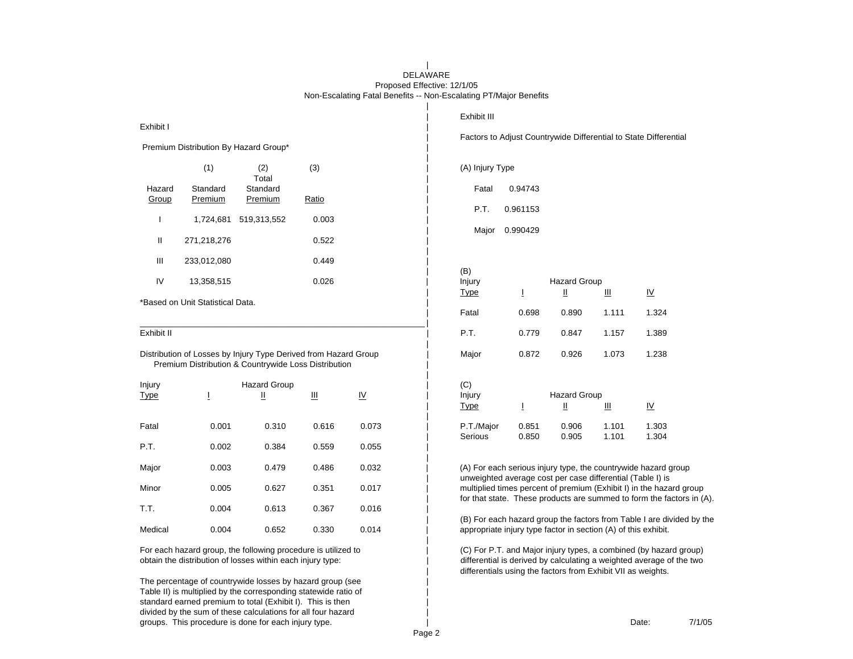### DELAWARE Proposed Effective: 12/1/05 Non-Escalating Fatal Benefits -- Non-Escalating PT/Major Benefits

| Exhibit I       |                                  |                                                                                                                         |       |                           | Exhibit III           |                                                                |                          |                | Factors to Adjust Countrywide Differential to State Differential                                                                             |
|-----------------|----------------------------------|-------------------------------------------------------------------------------------------------------------------------|-------|---------------------------|-----------------------|----------------------------------------------------------------|--------------------------|----------------|----------------------------------------------------------------------------------------------------------------------------------------------|
|                 |                                  | Premium Distribution By Hazard Group*                                                                                   |       |                           |                       |                                                                |                          |                |                                                                                                                                              |
|                 | (1)                              | (2)<br>Total                                                                                                            | (3)   |                           | (A) Injury Type       |                                                                |                          |                |                                                                                                                                              |
| Hazard<br>Group | Standard<br>Premium              | Standard<br>Premium                                                                                                     | Ratio |                           | Fatal                 | 0.94743                                                        |                          |                |                                                                                                                                              |
| ı               | 1,724,681                        | 519,313,552                                                                                                             | 0.003 |                           | P.T.<br>Major         | 0.961153<br>0.990429                                           |                          |                |                                                                                                                                              |
| Ш               | 271,218,276                      |                                                                                                                         | 0.522 |                           |                       |                                                                |                          |                |                                                                                                                                              |
| III             | 233,012,080                      |                                                                                                                         | 0.449 |                           | (B)                   |                                                                |                          |                |                                                                                                                                              |
| IV              | 13,358,515                       |                                                                                                                         | 0.026 |                           | Injury<br><b>Type</b> | T                                                              | <b>Hazard Group</b><br>Щ | Щ              | $\underline{\mathsf{IV}}$                                                                                                                    |
|                 | *Based on Unit Statistical Data. |                                                                                                                         |       |                           | Fatal                 | 0.698                                                          | 0.890                    | 1.111          | 1.324                                                                                                                                        |
| Exhibit II      |                                  |                                                                                                                         |       |                           | P.T.                  | 0.779                                                          | 0.847                    | 1.157          | 1.389                                                                                                                                        |
|                 |                                  | Distribution of Losses by Injury Type Derived from Hazard Group<br>Premium Distribution & Countrywide Loss Distribution |       |                           | Major                 | 0.872                                                          | 0.926                    | 1.073          | 1.238                                                                                                                                        |
| Injury          |                                  | <b>Hazard Group</b>                                                                                                     |       |                           | (C)                   |                                                                |                          |                |                                                                                                                                              |
| <b>Type</b>     | I                                | Ш                                                                                                                       | Ш     | $\underline{\mathsf{IV}}$ | Injury<br><b>Type</b> | Ī                                                              | <b>Hazard Group</b><br>Щ | Щ              | $\underline{\mathsf{IV}}$                                                                                                                    |
| Fatal           | 0.001                            | 0.310                                                                                                                   | 0.616 | 0.073                     | P.T./Major<br>Serious | 0.851<br>0.850                                                 | 0.906<br>0.905           | 1.101<br>1.101 | 1.303<br>1.304                                                                                                                               |
| P.T.            | 0.002                            | 0.384                                                                                                                   | 0.559 | 0.055                     |                       |                                                                |                          |                |                                                                                                                                              |
| Major           | 0.003                            | 0.479                                                                                                                   | 0.486 | 0.032                     |                       | unweighted average cost per case differential (Table I) is     |                          |                | (A) For each serious injury type, the countrywide hazard group                                                                               |
| Minor           | 0.005                            | 0.627                                                                                                                   | 0.351 | 0.017                     |                       |                                                                |                          |                | multiplied times percent of premium (Exhibit I) in the hazard group<br>for that state. These products are summed to form the factors in (A). |
| T.T.            | 0.004                            | 0.613                                                                                                                   | 0.367 | 0.016                     |                       |                                                                |                          |                | (B) For each hazard group the factors from Table I are divided by the                                                                        |
| Medical         | 0.004                            | 0.652                                                                                                                   | 0.330 | 0.014                     |                       | appropriate injury type factor in section (A) of this exhibit. |                          |                |                                                                                                                                              |

For each hazard group, the following procedure is utilized to  $|$  (C) For P.T. and Major injury types, a combined (by hazard group)<br>obtain the distribution of losses within each injury type:<br>a differential is derived by ca

The percentage of countrywide losses by hazard group (see | Table II) is multiplied by the corresponding statewide ratio of | standard earned premium to total (Exhibit I). This is then divided by the sum of these calculations for all four hazard | groups. This procedure is done for each injury type.  $\qquad \qquad$  | Date:  $\qquad \qquad$  Date: 7/1/05

 $\overline{d}$  differential is derived by calculating a weighted average of the two differentials using the factors from Exhibit VII as weights.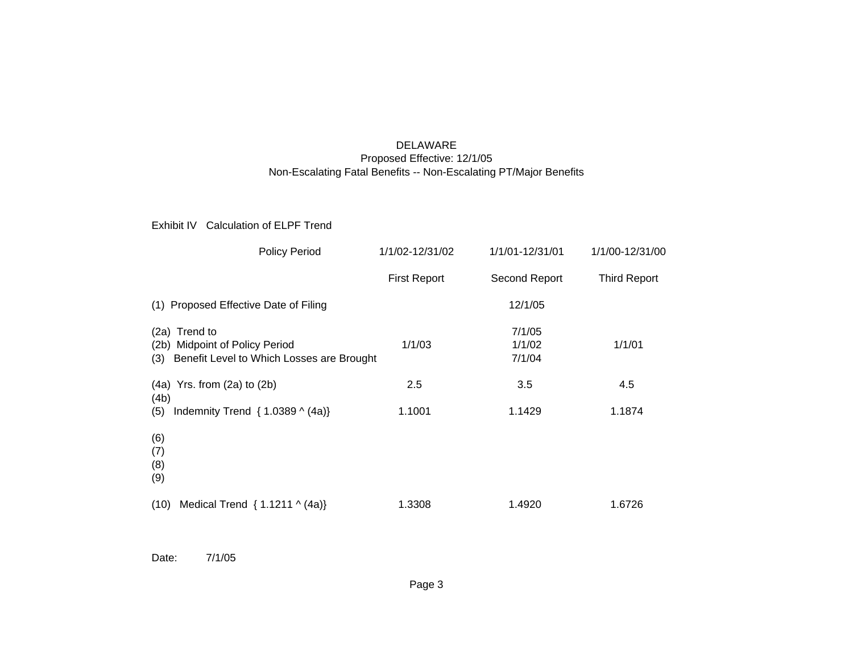## DELAWARE Proposed Effective: 12/1/05 Non-Escalating Fatal Benefits -- Non-Escalating PT/Major Benefits

## Exhibit IV Calculation of ELPF Trend

| <b>Policy Period</b>                                                                             | 1/1/02-12/31/02     | 1/1/01-12/31/01            | 1/1/00-12/31/00     |
|--------------------------------------------------------------------------------------------------|---------------------|----------------------------|---------------------|
|                                                                                                  | <b>First Report</b> | Second Report              | <b>Third Report</b> |
| (1) Proposed Effective Date of Filing                                                            |                     | 12/1/05                    |                     |
| (2a) Trend to<br>(2b) Midpoint of Policy Period<br>(3) Benefit Level to Which Losses are Brought | 1/1/03              | 7/1/05<br>1/1/02<br>7/1/04 | 1/1/01              |
| $(4a)$ Yrs. from $(2a)$ to $(2b)$<br>(4b)                                                        | 2.5                 | 3.5                        | 4.5                 |
| (5) Indemnity Trend { $1.0389 \land (4a)$ }                                                      | 1.1001              | 1.1429                     | 1.1874              |
| (6)<br>(7)<br>(8)<br>(9)                                                                         |                     |                            |                     |
| (10)<br>Medical Trend { $1.1211 \land (4a)$ }                                                    | 1.3308              | 1.4920                     | 1.6726              |

Date: 7/1/05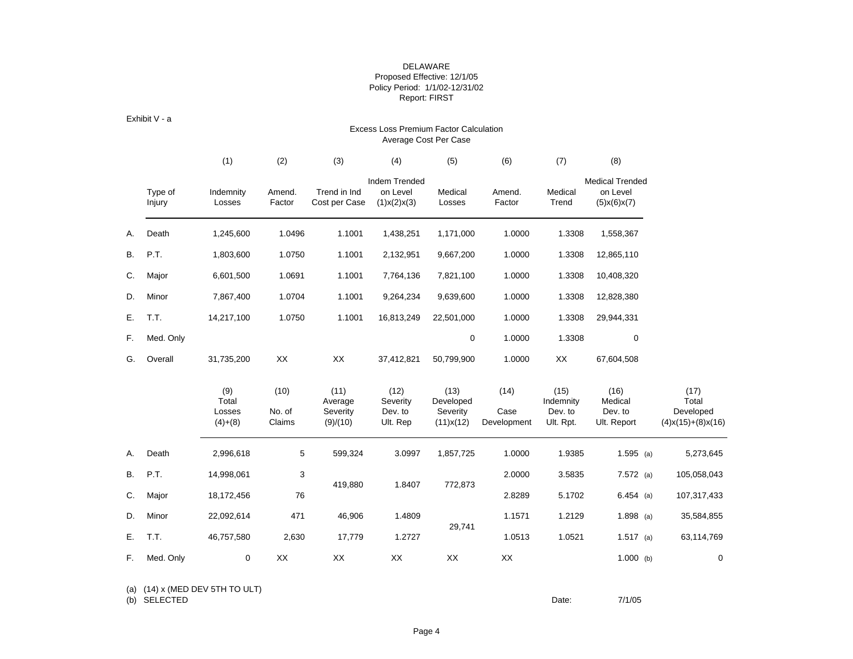## DELAWARE Proposed Effective: 12/1/05 Policy Period: 1/1/02-12/31/02 Report: FIRST

Exhibit V - a

#### Excess Loss Premium Factor Calculation Average Cost Per Case

|           |                   | (1)                                 | (2)                      | (3)                                     | (4)                                      | (5)                                        | (6)                         | (7)                                       | (8)                                               |                                                               |
|-----------|-------------------|-------------------------------------|--------------------------|-----------------------------------------|------------------------------------------|--------------------------------------------|-----------------------------|-------------------------------------------|---------------------------------------------------|---------------------------------------------------------------|
|           | Type of<br>Injury | Indemnity<br>Losses                 | Amend.<br>Factor         | Trend in Ind<br>Cost per Case           | Indem Trended<br>on Level<br>(1)x(2)x(3) | Medical<br>Losses                          | Amend.<br>Factor            | Medical<br>Trend                          | <b>Medical Trended</b><br>on Level<br>(5)x(6)x(7) |                                                               |
| А.        | Death             | 1,245,600                           | 1.0496                   | 1.1001                                  | 1,438,251                                | 1,171,000                                  | 1.0000                      | 1.3308                                    | 1,558,367                                         |                                                               |
| <b>B.</b> | P.T.              | 1,803,600                           | 1.0750                   | 1.1001                                  | 2,132,951                                | 9,667,200                                  | 1.0000                      | 1.3308                                    | 12,865,110                                        |                                                               |
| C.        | Major             | 6,601,500                           | 1.0691                   | 1.1001                                  | 7,764,136                                | 7,821,100                                  | 1.0000                      | 1.3308                                    | 10,408,320                                        |                                                               |
| D.        | Minor             | 7,867,400                           | 1.0704                   | 1.1001                                  | 9,264,234                                | 9,639,600                                  | 1.0000                      | 1.3308                                    | 12,828,380                                        |                                                               |
| Е.        | T.T.              | 14,217,100                          | 1.0750                   | 1.1001                                  | 16,813,249                               | 22,501,000                                 | 1.0000                      | 1.3308                                    | 29,944,331                                        |                                                               |
| F.        | Med. Only         |                                     |                          |                                         |                                          | $\mathbf 0$                                | 1.0000                      | 1.3308                                    | $\mathbf 0$                                       |                                                               |
| G.        | Overall           | 31,735,200                          | XX                       | XX                                      | 37,412,821                               | 50,799,900                                 | 1.0000                      | XX                                        | 67,604,508                                        |                                                               |
|           |                   | (9)<br>Total<br>Losses<br>$(4)+(8)$ | (10)<br>No. of<br>Claims | (11)<br>Average<br>Severity<br>(9)/(10) | (12)<br>Severity<br>Dev. to<br>Ult. Rep  | (13)<br>Developed<br>Severity<br>(11)x(12) | (14)<br>Case<br>Development | (15)<br>Indemnity<br>Dev. to<br>Ult. Rpt. | (16)<br>Medical<br>Dev. to<br>Ult. Report         | (17)<br>Total<br>Developed<br>$(4)$ x $(15)$ + $(8)$ x $(16)$ |
| А.        | Death             | 2,996,618                           | 5                        | 599,324                                 | 3.0997                                   | 1,857,725                                  | 1.0000                      | 1.9385                                    | $1.595$ (a)                                       | 5,273,645                                                     |
| В.        | P.T.              | 14,998,061                          | 3                        |                                         |                                          |                                            | 2.0000                      | 3.5835                                    | $7.572$ (a)                                       | 105,058,043                                                   |
| C.        | Major             | 18,172,456                          | 76                       | 419,880                                 | 1.8407                                   | 772,873                                    | 2.8289                      | 5.1702                                    | $6.454$ (a)                                       | 107,317,433                                                   |
| D.        | Minor             | 22,092,614                          | 471                      | 46,906                                  | 1.4809                                   |                                            | 1.1571                      | 1.2129                                    | $1.898$ (a)                                       | 35,584,855                                                    |
| Ε.        | T.T.              | 46,757,580                          | 2,630                    | 17,779                                  | 1.2727                                   | 29,741                                     | 1.0513                      | 1.0521                                    | $1.517$ (a)                                       | 63,114,769                                                    |
| F.        | Med. Only         | 0                                   | XX                       | XX                                      | XX                                       | XX                                         | XX                          |                                           | $1.000$ (b)                                       | $\mathbf 0$                                                   |

(a) (14) x (MED DEV 5TH TO ULT)

(b) SELECTED Date: 7/1/05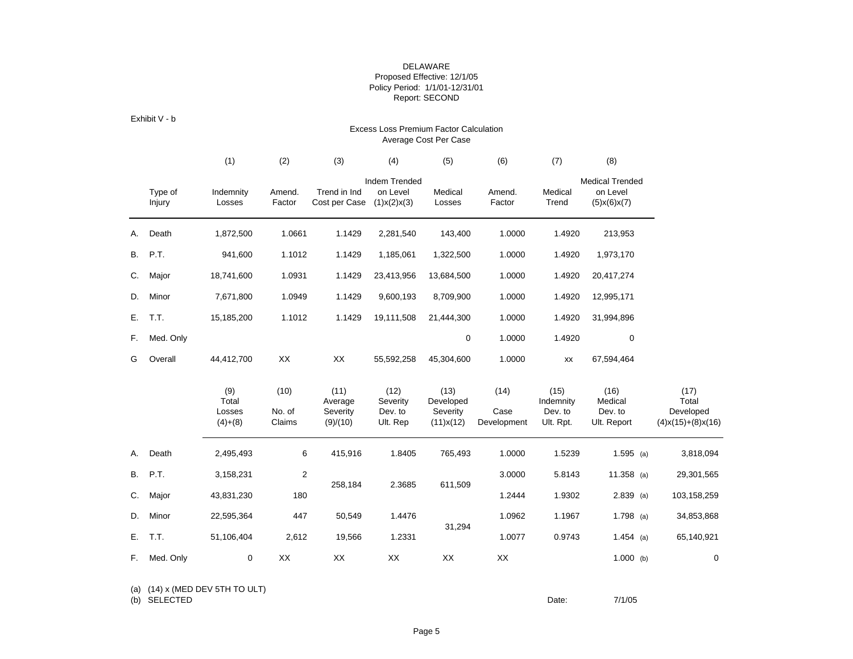## DELAWARE Proposed Effective: 12/1/05 Policy Period: 1/1/01-12/31/01 Report: SECOND

Exhibit V - b

#### Excess Loss Premium Factor Calculation Average Cost Per Case

|    |                   | (1)                                 | (2)                      | (3)                                     | (4)                                             | (5)                                        | (6)                         | (7)                                       | (8)                                                         |                                                               |
|----|-------------------|-------------------------------------|--------------------------|-----------------------------------------|-------------------------------------------------|--------------------------------------------|-----------------------------|-------------------------------------------|-------------------------------------------------------------|---------------------------------------------------------------|
|    | Type of<br>Injury | Indemnity<br>Losses                 | Amend.<br>Factor         | Trend in Ind<br>Cost per Case           | <b>Indem Trended</b><br>on Level<br>(1)x(2)x(3) | Medical<br>Losses                          | Amend.<br>Factor            | Medical<br>Trend                          | <b>Medical Trended</b><br>on Level<br>$(5)$ x $(6)$ x $(7)$ |                                                               |
| А. | Death             | 1,872,500                           | 1.0661                   | 1.1429                                  | 2,281,540                                       | 143,400                                    | 1.0000                      | 1.4920                                    | 213,953                                                     |                                                               |
| В. | P.T.              | 941,600                             | 1.1012                   | 1.1429                                  | 1,185,061                                       | 1,322,500                                  | 1.0000                      | 1.4920                                    | 1,973,170                                                   |                                                               |
| C. | Major             | 18,741,600                          | 1.0931                   | 1.1429                                  | 23,413,956                                      | 13,684,500                                 | 1.0000                      | 1.4920                                    | 20,417,274                                                  |                                                               |
| D. | Minor             | 7,671,800                           | 1.0949                   | 1.1429                                  | 9,600,193                                       | 8,709,900                                  | 1.0000                      | 1.4920                                    | 12,995,171                                                  |                                                               |
| Е. | T.T.              | 15,185,200                          | 1.1012                   | 1.1429                                  | 19,111,508                                      | 21,444,300                                 | 1.0000                      | 1.4920                                    | 31,994,896                                                  |                                                               |
| F. | Med. Only         |                                     |                          |                                         |                                                 | $\mathbf 0$                                | 1.0000                      | 1.4920                                    | $\mathbf 0$                                                 |                                                               |
| G  | Overall           | 44,412,700                          | XX                       | XX                                      | 55,592,258                                      | 45,304,600                                 | 1.0000                      | XX                                        | 67,594,464                                                  |                                                               |
|    |                   | (9)<br>Total<br>Losses<br>$(4)+(8)$ | (10)<br>No. of<br>Claims | (11)<br>Average<br>Severity<br>(9)/(10) | (12)<br>Severity<br>Dev. to<br>Ult. Rep         | (13)<br>Developed<br>Severity<br>(11)x(12) | (14)<br>Case<br>Development | (15)<br>Indemnity<br>Dev. to<br>Ult. Rpt. | (16)<br>Medical<br>Dev. to<br>Ult. Report                   | (17)<br>Total<br>Developed<br>$(4)$ x $(15)$ + $(8)$ x $(16)$ |
| А. | Death             | 2,495,493                           | 6                        | 415,916                                 | 1.8405                                          | 765,493                                    | 1.0000                      | 1.5239                                    | $1.595$ (a)                                                 | 3,818,094                                                     |
| В. | P.T.              | 3,158,231                           | 2                        |                                         |                                                 |                                            | 3.0000                      | 5.8143                                    | 11.358 (a)                                                  | 29,301,565                                                    |
| C. | Major             | 43,831,230                          | 180                      | 258,184                                 | 2.3685                                          | 611,509                                    | 1.2444                      | 1.9302                                    | $2.839$ (a)                                                 | 103,158,259                                                   |
| D. | Minor             | 22,595,364                          | 447                      | 50,549                                  | 1.4476                                          |                                            | 1.0962                      | 1.1967                                    | 1.798 (a)                                                   | 34,853,868                                                    |
| Е. | T.T.              | 51,106,404                          | 2,612                    | 19,566                                  | 1.2331                                          | 31,294                                     | 1.0077                      | 0.9743                                    | $1.454$ (a)                                                 | 65,140,921                                                    |
| F. | Med. Only         | 0                                   | XX                       | XX                                      | XX                                              | XX                                         | XX                          |                                           | $1.000$ (b)                                                 | $\mathbf 0$                                                   |

(a) (14) x (MED DEV 5TH TO ULT)

(b) SELECTED Date: 7/1/05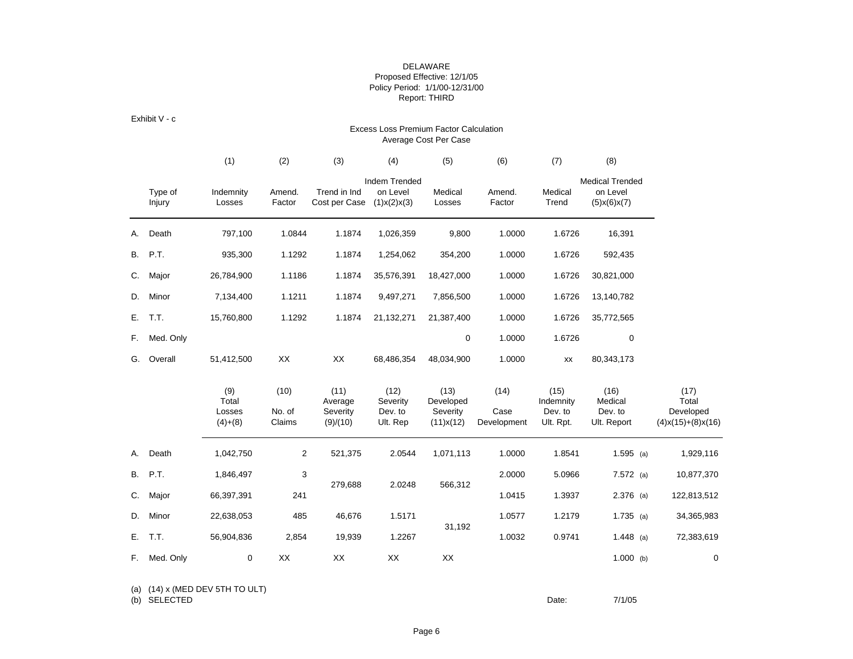## DELAWARE Proposed Effective: 12/1/05 Policy Period: 1/1/00-12/31/00 Report: THIRD

Exhibit V - c

#### Excess Loss Premium Factor Calculation Average Cost Per Case

|    |                   | (1)                                 | (2)                      | (3)                                     | (4)                                      | (5)                                        | (6)                         | (7)                                       | (8)                                               |                                                               |
|----|-------------------|-------------------------------------|--------------------------|-----------------------------------------|------------------------------------------|--------------------------------------------|-----------------------------|-------------------------------------------|---------------------------------------------------|---------------------------------------------------------------|
|    | Type of<br>Injury | Indemnity<br>Losses                 | Amend.<br>Factor         | Trend in Ind<br>Cost per Case           | Indem Trended<br>on Level<br>(1)x(2)x(3) | Medical<br>Losses                          | Amend.<br>Factor            | Medical<br>Trend                          | <b>Medical Trended</b><br>on Level<br>(5)x(6)x(7) |                                                               |
| А. | Death             | 797,100                             | 1.0844                   | 1.1874                                  | 1,026,359                                | 9,800                                      | 1.0000                      | 1.6726                                    | 16,391                                            |                                                               |
| В. | P.T.              | 935,300                             | 1.1292                   | 1.1874                                  | 1,254,062                                | 354,200                                    | 1.0000                      | 1.6726                                    | 592,435                                           |                                                               |
| C. | Major             | 26,784,900                          | 1.1186                   | 1.1874                                  | 35,576,391                               | 18,427,000                                 | 1.0000                      | 1.6726                                    | 30,821,000                                        |                                                               |
| D. | Minor             | 7,134,400                           | 1.1211                   | 1.1874                                  | 9,497,271                                | 7,856,500                                  | 1.0000                      | 1.6726                                    | 13,140,782                                        |                                                               |
| Е. | T.T.              | 15,760,800                          | 1.1292                   | 1.1874                                  | 21,132,271                               | 21,387,400                                 | 1.0000                      | 1.6726                                    | 35,772,565                                        |                                                               |
| F. | Med. Only         |                                     |                          |                                         |                                          | 0                                          | 1.0000                      | 1.6726                                    | 0                                                 |                                                               |
| G. | Overall           | 51,412,500                          | XX                       | XX                                      | 68,486,354                               | 48,034,900                                 | 1.0000                      | XX                                        | 80,343,173                                        |                                                               |
|    |                   | (9)<br>Total<br>Losses<br>$(4)+(8)$ | (10)<br>No. of<br>Claims | (11)<br>Average<br>Severity<br>(9)/(10) | (12)<br>Severity<br>Dev. to<br>Ult. Rep  | (13)<br>Developed<br>Severity<br>(11)x(12) | (14)<br>Case<br>Development | (15)<br>Indemnity<br>Dev. to<br>Ult. Rpt. | (16)<br>Medical<br>Dev. to<br>Ult. Report         | (17)<br>Total<br>Developed<br>$(4)$ x $(15)$ + $(8)$ x $(16)$ |
| А. | Death             | 1,042,750                           | $\overline{2}$           | 521,375                                 | 2.0544                                   | 1,071,113                                  | 1.0000                      | 1.8541                                    | $1.595$ (a)                                       | 1,929,116                                                     |
| В. | P.T.              | 1,846,497                           | 3                        |                                         |                                          |                                            | 2.0000                      | 5.0966                                    | $7.572$ (a)                                       | 10,877,370                                                    |
| C. | Major             | 66,397,391                          | 241                      | 279,688                                 | 2.0248                                   | 566,312                                    | 1.0415                      | 1.3937                                    | $2.376$ (a)                                       | 122,813,512                                                   |
| D. | Minor             | 22,638,053                          | 485                      | 46,676                                  | 1.5171                                   |                                            | 1.0577                      | 1.2179                                    | $1.735$ (a)                                       | 34,365,983                                                    |
| Е. | T.T.              | 56,904,836                          | 2,854                    | 19,939                                  | 1.2267                                   | 31,192                                     | 1.0032                      | 0.9741                                    | $1.448$ (a)                                       | 72,383,619                                                    |
| F. | Med. Only         | 0                                   | XX                       | XX                                      | XX                                       | XX                                         |                             |                                           | $1.000$ (b)                                       | 0                                                             |

(a) (14) x (MED DEV 5TH TO ULT)

(b) SELECTED Date: 7/1/05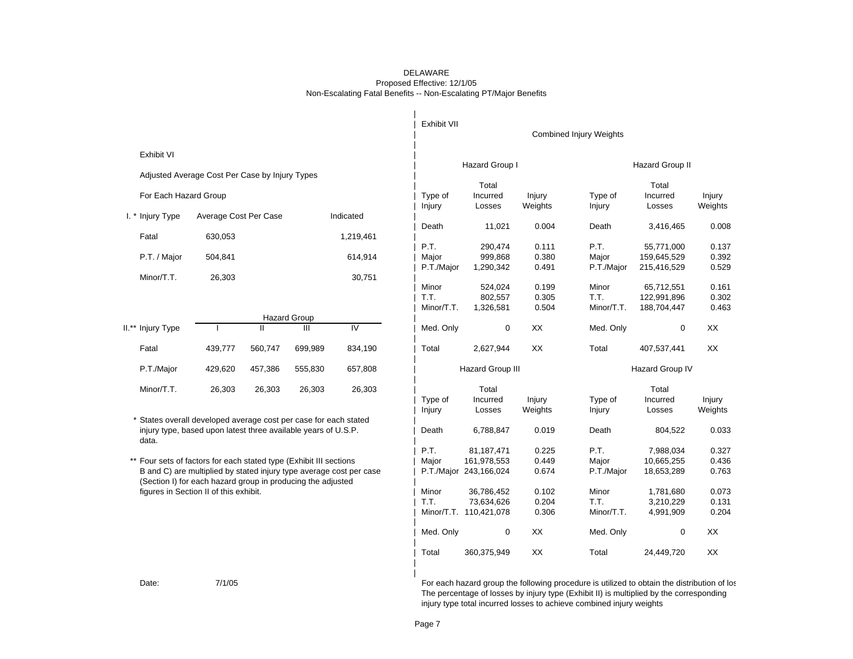### DELAWARE Proposed Effective: 12/1/05 Non-Escalating Fatal Benefits -- Non-Escalating PT/Major Benefits

|                                                                     |                       |         |                     |                | Exhibit VII |                                      |                | <b>Combined Injury Weights</b> |                        |                |
|---------------------------------------------------------------------|-----------------------|---------|---------------------|----------------|-------------|--------------------------------------|----------------|--------------------------------|------------------------|----------------|
| Exhibit VI                                                          |                       |         |                     |                |             |                                      |                |                                |                        |                |
| Adjusted Average Cost Per Case by Injury Types                      |                       |         |                     |                |             | Hazard Group I                       |                |                                | Hazard Group II        |                |
|                                                                     |                       |         |                     |                |             | Total                                |                |                                | Total                  |                |
| For Each Hazard Group                                               |                       |         |                     |                | Type of     | Incurred                             | Injury         | Type of                        | Incurred               | Injury         |
| I. * Injury Type                                                    | Average Cost Per Case |         |                     | Indicated      | Injury      | Losses                               | Weights        | Injury                         | Losses                 | Weights        |
|                                                                     |                       |         |                     |                | Death       | 11,021                               | 0.004          | Death                          | 3,416,465              | 0.008          |
| Fatal                                                               | 630,053               |         |                     | 1,219,461      |             |                                      |                |                                |                        |                |
|                                                                     |                       |         |                     |                | P.T.        | 290,474                              | 0.111          | P.T.                           | 55,771,000             | 0.137          |
| P.T. / Major                                                        | 504,841               |         |                     | 614,914        | Major       | 999,868                              | 0.380          | Major                          | 159,645,529            | 0.392<br>0.529 |
| Minor/T.T.                                                          | 26,303                |         |                     | 30,751         | P.T./Major  | 1,290,342                            | 0.491          | P.T./Major                     | 215,416,529            |                |
|                                                                     |                       |         |                     |                | Minor       | 524,024                              | 0.199          | Minor                          | 65,712,551             | 0.161          |
|                                                                     |                       |         |                     |                | T.T.        | 802,557                              | 0.305          | T.T.                           | 122,991,896            | 0.302          |
|                                                                     |                       |         |                     |                | Minor/T.T.  | 1,326,581                            | 0.504          | Minor/T.T.                     | 188,704,447            | 0.463          |
|                                                                     |                       | Ш       | <b>Hazard Group</b> | $\overline{N}$ |             |                                      |                |                                |                        |                |
| II.** Injury Type                                                   |                       |         | Ш                   |                | Med. Only   | $\mathbf 0$                          | XX             | Med. Only                      | $\mathbf 0$            | XX             |
| Fatal                                                               | 439,777               | 560,747 | 699,989             | 834,190        | Total       | 2,627,944                            | XX             | Total                          | 407,537,441            | XX             |
| P.T./Major                                                          | 429,620               | 457,386 | 555,830             | 657,808        |             | <b>Hazard Group III</b>              |                |                                | Hazard Group IV        |                |
| Minor/T.T.                                                          | 26,303                | 26,303  | 26,303              | 26,303         |             | Total                                |                |                                | Total                  |                |
|                                                                     |                       |         |                     |                | Type of     | Incurred                             | Injury         | Type of                        | Incurred               | Injury         |
|                                                                     |                       |         |                     |                | Injury      | Losses                               | Weights        | Injury                         | Losses                 | Weights        |
| * States overall developed average cost per case for each stated    |                       |         |                     |                |             |                                      |                |                                |                        |                |
| injury type, based upon latest three available years of U.S.P.      |                       |         |                     |                | Death       | 6,788,847                            | 0.019          | Death                          | 804,522                | 0.033          |
| data.                                                               |                       |         |                     |                | P.T.        | 81,187,471                           | 0.225          | P.T.                           | 7,988,034              | 0.327          |
| ** Four sets of factors for each stated type (Exhibit III sections  |                       |         |                     |                | Major       | 161,978,553                          | 0.449          | Major                          | 10,665,255             | 0.436          |
| B and C) are multiplied by stated injury type average cost per case |                       |         |                     |                |             | P.T./Major 243,166,024               | 0.674          | P.T./Major                     | 18,653,289             | 0.763          |
| (Section I) for each hazard group in producing the adjusted         |                       |         |                     |                |             |                                      |                |                                |                        |                |
| figures in Section II of this exhibit.                              |                       |         |                     |                | Minor       | 36,786,452                           | 0.102          | Minor                          | 1,781,680              | 0.073          |
|                                                                     |                       |         |                     |                | T.T.        | 73,634,626<br>Minor/T.T. 110,421,078 | 0.204<br>0.306 | T.T.<br>Minor/T.T.             | 3,210,229<br>4,991,909 | 0.131<br>0.204 |
|                                                                     |                       |         |                     |                |             |                                      |                |                                |                        |                |
|                                                                     |                       |         |                     |                | Med. Only   | 0                                    | XX             | Med. Only                      | 0                      | XX             |
|                                                                     |                       |         |                     |                | Total       | 360,375,949                          | XX             | Total                          | 24,449,720             | XX             |

Date: 7/1/05 7/1/05 Toreach hazard group the following procedure is utilized to obtain the distribution of los The percentage of losses by injury type (Exhibit II) is multiplied by the corresponding injury type total incurred losses to achieve combined injury weights